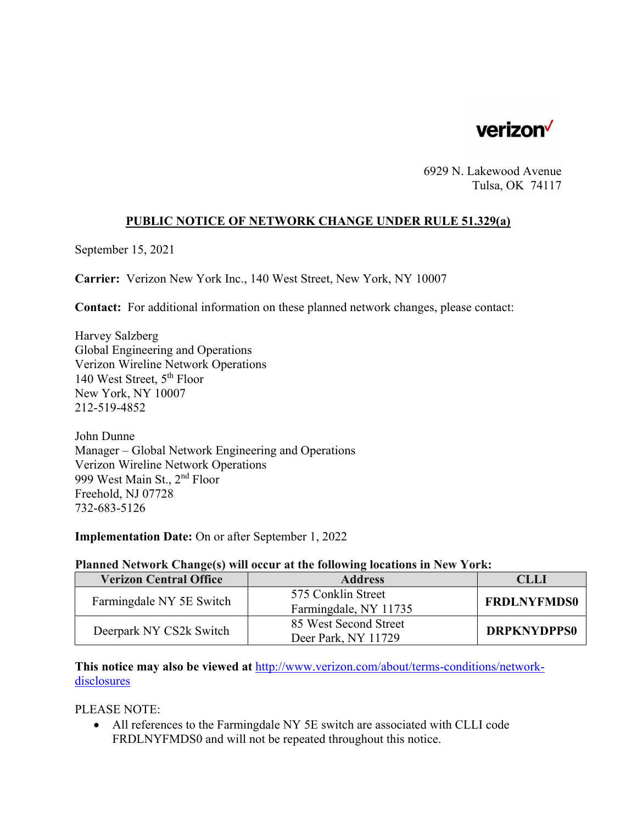

6929 N. Lakewood Avenue Tulsa, OK 74117

## **PUBLIC NOTICE OF NETWORK CHANGE UNDER RULE 51.329(a)**

September 15, 2021

**Carrier:** Verizon New York Inc., 140 West Street, New York, NY 10007

**Contact:** For additional information on these planned network changes, please contact:

Harvey Salzberg Global Engineering and Operations Verizon Wireline Network Operations 140 West Street, 5th Floor New York, NY 10007 212-519-4852

John Dunne Manager – Global Network Engineering and Operations Verizon Wireline Network Operations 999 West Main St., 2nd Floor Freehold, NJ 07728 732-683-5126

**Implementation Date:** On or after September 1, 2022

## **Planned Network Change(s) will occur at the following locations in New York:**

| <b>Verizon Central Office</b> | <b>Address</b>        | CLLI               |
|-------------------------------|-----------------------|--------------------|
| Farmingdale NY 5E Switch      | 575 Conklin Street    | <b>FRDLNYFMDS0</b> |
|                               | Farmingdale, NY 11735 |                    |
| Deerpark NY CS2k Switch       | 85 West Second Street | <b>DRPKNYDPPS0</b> |
|                               | Deer Park, NY 11729   |                    |

**This notice may also be viewed at** http://www.verizon.com/about/terms-conditions/networkdisclosures

PLEASE NOTE:

 All references to the Farmingdale NY 5E switch are associated with CLLI code FRDLNYFMDS0 and will not be repeated throughout this notice.